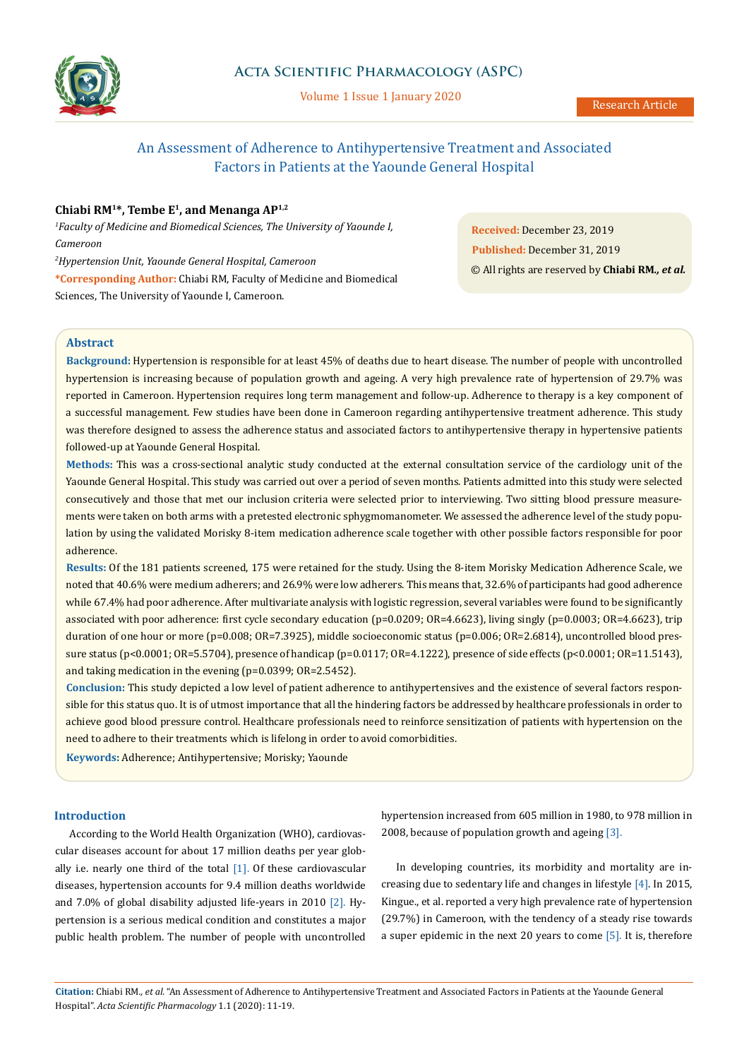

Volume 1 Issue 1 January 2020

# An Assessment of Adherence to Antihypertensive Treatment and Associated Factors in Patients at the Yaounde General Hospital

# **Chiabi RM1\*, Tembe E1, and Menanga AP1,2**

*1 Faculty of Medicine and Biomedical Sciences, The University of Yaounde I, Cameroon*

*2 Hypertension Unit, Yaounde General Hospital, Cameroon*  **\*Corresponding Author:** Chiabi RM, Faculty of Medicine and Biomedical Sciences, The University of Yaounde I, Cameroon.

**Received:** December 23, 2019 **Published:** December 31, 2019 © All rights are reserved by **Chiabi RM***., et al.*

# **Abstract**

**Background:** Hypertension is responsible for at least 45% of deaths due to heart disease. The number of people with uncontrolled hypertension is increasing because of population growth and ageing. A very high prevalence rate of hypertension of 29.7% was reported in Cameroon. Hypertension requires long term management and follow-up. Adherence to therapy is a key component of a successful management. Few studies have been done in Cameroon regarding antihypertensive treatment adherence. This study was therefore designed to assess the adherence status and associated factors to antihypertensive therapy in hypertensive patients followed-up at Yaounde General Hospital.

**Methods:** This was a cross-sectional analytic study conducted at the external consultation service of the cardiology unit of the Yaounde General Hospital. This study was carried out over a period of seven months. Patients admitted into this study were selected consecutively and those that met our inclusion criteria were selected prior to interviewing. Two sitting blood pressure measurements were taken on both arms with a pretested electronic sphygmomanometer. We assessed the adherence level of the study population by using the validated Morisky 8-item medication adherence scale together with other possible factors responsible for poor adherence.

**Results:** Of the 181 patients screened, 175 were retained for the study. Using the 8-item Morisky Medication Adherence Scale, we noted that 40.6% were medium adherers; and 26.9% were low adherers. This means that, 32.6% of participants had good adherence while 67.4% had poor adherence. After multivariate analysis with logistic regression, several variables were found to be significantly associated with poor adherence: first cycle secondary education (p=0.0209; OR=4.6623), living singly (p=0.0003; OR=4.6623), trip duration of one hour or more (p=0.008; OR=7.3925), middle socioeconomic status (p=0.006; OR=2.6814), uncontrolled blood pressure status (p<0.0001; OR=5.5704), presence of handicap (p=0.0117; OR=4.1222), presence of side effects (p<0.0001; OR=11.5143), and taking medication in the evening (p=0.0399; OR=2.5452).

**Conclusion:** This study depicted a low level of patient adherence to antihypertensives and the existence of several factors responsible for this status quo. It is of utmost importance that all the hindering factors be addressed by healthcare professionals in order to achieve good blood pressure control. Healthcare professionals need to reinforce sensitization of patients with hypertension on the need to adhere to their treatments which is lifelong in order to avoid comorbidities.

**Keywords:** Adherence; Antihypertensive; Morisky; Yaounde

#### **Introduction**

According to the World Health Organization (WHO), cardiovascular diseases account for about 17 million deaths per year globally i.e. nearly one third of the total  $[1]$ . Of these cardiovascular diseases, hypertension accounts for 9.4 million deaths worldwide and 7.0% of global disability adjusted life-years in 2010 [2]. Hypertension is a serious medical condition and constitutes a major public health problem. The number of people with uncontrolled hypertension increased from 605 million in 1980, to 978 million in 2008, because of population growth and ageing [3].

In developing countries, its morbidity and mortality are increasing due to sedentary life and changes in lifestyle [4]. In 2015, Kingue., et al. reported a very high prevalence rate of hypertension (29.7%) in Cameroon, with the tendency of a steady rise towards a super epidemic in the next 20 years to come [5]. It is, therefore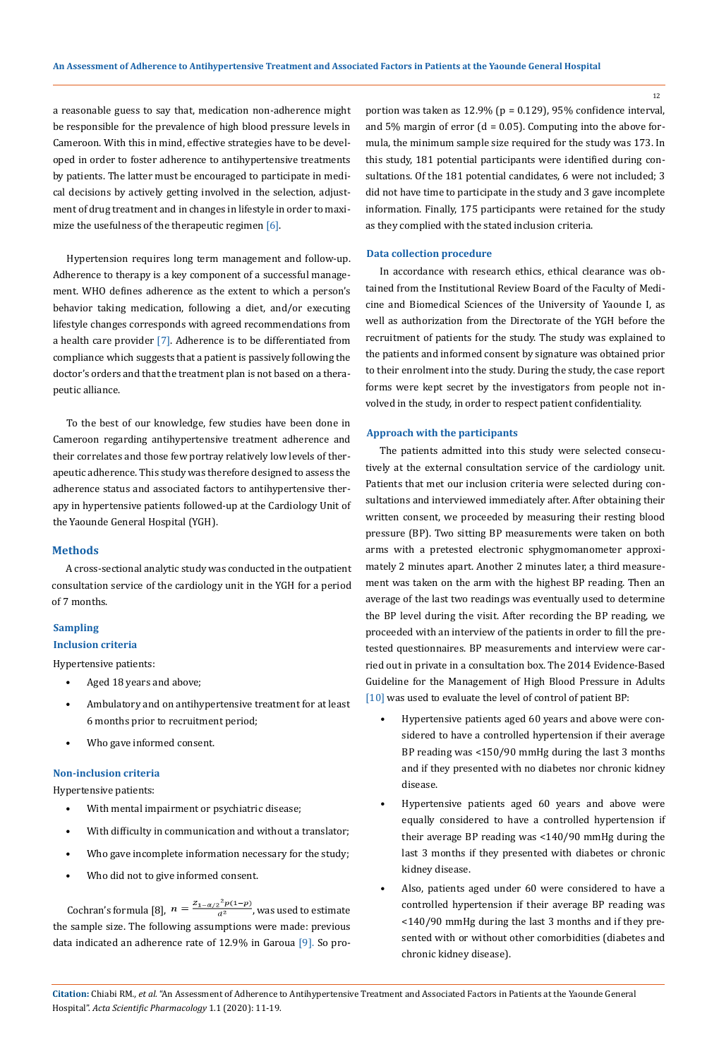12

a reasonable guess to say that, medication non-adherence might be responsible for the prevalence of high blood pressure levels in Cameroon. With this in mind, effective strategies have to be developed in order to foster adherence to antihypertensive treatments by patients. The latter must be encouraged to participate in medical decisions by actively getting involved in the selection, adjustment of drug treatment and in changes in lifestyle in order to maximize the usefulness of the therapeutic regimen [6].

Hypertension requires long term management and follow-up. Adherence to therapy is a key component of a successful management. WHO defines adherence as the extent to which a person's behavior taking medication, following a diet, and/or executing lifestyle changes corresponds with agreed recommendations from a health care provider [7]. Adherence is to be differentiated from compliance which suggests that a patient is passively following the doctor's orders and that the treatment plan is not based on a therapeutic alliance.

To the best of our knowledge, few studies have been done in Cameroon regarding antihypertensive treatment adherence and their correlates and those few portray relatively low levels of therapeutic adherence. This study was therefore designed to assess the adherence status and associated factors to antihypertensive therapy in hypertensive patients followed-up at the Cardiology Unit of the Yaounde General Hospital (YGH).

#### **Methods**

A cross-sectional analytic study was conducted in the outpatient consultation service of the cardiology unit in the YGH for a period of 7 months.

# **Sampling**

# **Inclusion criteria**

Hypertensive patients:

- Aged 18 years and above;
- Ambulatory and on antihypertensive treatment for at least 6 months prior to recruitment period;
- Who gave informed consent.

#### **Non-inclusion criteria**

Hypertensive patients:

- With mental impairment or psychiatric disease;
- With difficulty in communication and without a translator;
- Who gave incomplete information necessary for the study;
- Who did not to give informed consent.

Cochran's formula [8],  $n = \frac{Z_{1-\alpha/2}^2 p(1-p)}{a^2}$ , was used to estimate the sample size. The following assumptions were made: previous data indicated an adherence rate of 12.9% in Garoua [9]. So proportion was taken as 12.9% (p = 0.129), 95% confidence interval, and 5% margin of error ( $d = 0.05$ ). Computing into the above formula, the minimum sample size required for the study was 173. In this study, 181 potential participants were identified during consultations. Of the 181 potential candidates, 6 were not included; 3 did not have time to participate in the study and 3 gave incomplete information. Finally, 175 participants were retained for the study as they complied with the stated inclusion criteria.

#### **Data collection procedure**

In accordance with research ethics, ethical clearance was obtained from the Institutional Review Board of the Faculty of Medicine and Biomedical Sciences of the University of Yaounde I, as well as authorization from the Directorate of the YGH before the recruitment of patients for the study. The study was explained to the patients and informed consent by signature was obtained prior to their enrolment into the study. During the study, the case report forms were kept secret by the investigators from people not involved in the study, in order to respect patient confidentiality.

#### **Approach with the participants**

The patients admitted into this study were selected consecutively at the external consultation service of the cardiology unit. Patients that met our inclusion criteria were selected during consultations and interviewed immediately after. After obtaining their written consent, we proceeded by measuring their resting blood pressure (BP). Two sitting BP measurements were taken on both arms with a pretested electronic sphygmomanometer approximately 2 minutes apart. Another 2 minutes later, a third measurement was taken on the arm with the highest BP reading. Then an average of the last two readings was eventually used to determine the BP level during the visit. After recording the BP reading, we proceeded with an interview of the patients in order to fill the pretested questionnaires. BP measurements and interview were carried out in private in a consultation box. The 2014 Evidence-Based Guideline for the Management of High Blood Pressure in Adults [10] was used to evaluate the level of control of patient BP:

- Hypertensive patients aged 60 years and above were considered to have a controlled hypertension if their average BP reading was <150/90 mmHg during the last 3 months and if they presented with no diabetes nor chronic kidney disease.
- Hypertensive patients aged 60 years and above were equally considered to have a controlled hypertension if their average BP reading was <140/90 mmHg during the last 3 months if they presented with diabetes or chronic kidney disease.
- Also, patients aged under 60 were considered to have a controlled hypertension if their average BP reading was <140/90 mmHg during the last 3 months and if they presented with or without other comorbidities (diabetes and chronic kidney disease).

**Citation:** Chiabi RM*., et al.* "An Assessment of Adherence to Antihypertensive Treatment and Associated Factors in Patients at the Yaounde General Hospital". *Acta Scientific Pharmacology* 1.1 (2020): 11-19.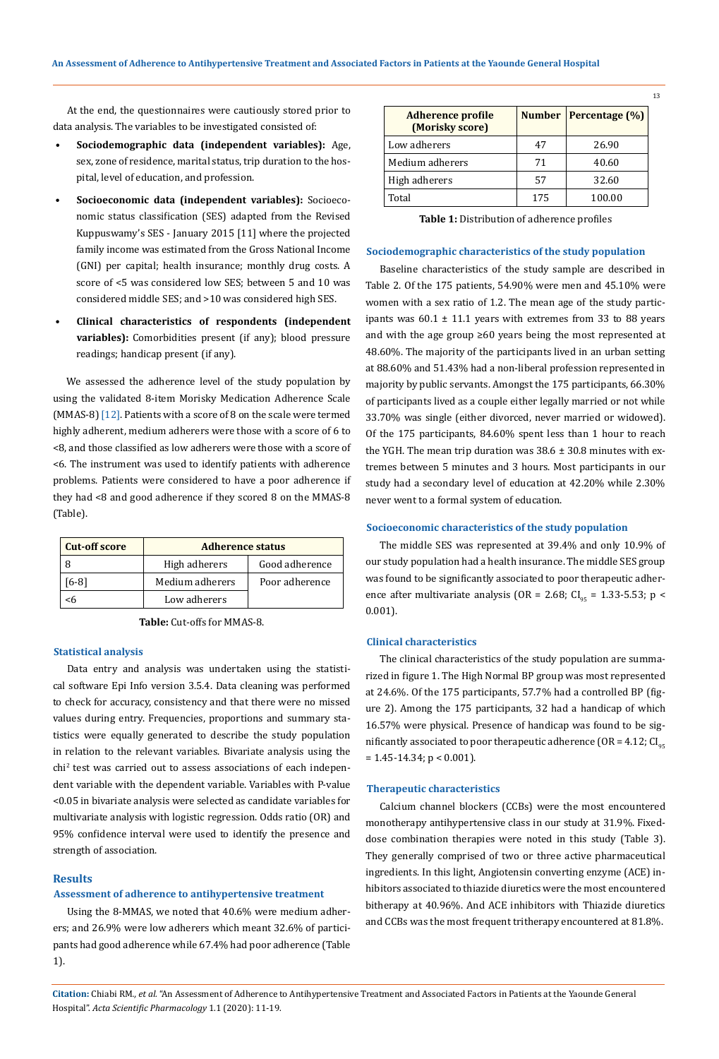At the end, the questionnaires were cautiously stored prior to data analysis. The variables to be investigated consisted of:

- **• Sociodemographic data (independent variables):** Age, sex, zone of residence, marital status, trip duration to the hospital, level of education, and profession.
- **• Socioeconomic data (independent variables):** Socioeconomic status classification (SES) adapted from the Revised Kuppuswamy's SES - January 2015 [11] where the projected family income was estimated from the Gross National Income (GNI) per capital; health insurance; monthly drug costs. A score of <5 was considered low SES; between 5 and 10 was considered middle SES; and >10 was considered high SES.
- **• Clinical characteristics of respondents (independent variables):** Comorbidities present (if any); blood pressure readings; handicap present (if any).

We assessed the adherence level of the study population by using the validated 8-item Morisky Medication Adherence Scale (MMAS-8) [12]. Patients with a score of 8 on the scale were termed highly adherent, medium adherers were those with a score of 6 to <8, and those classified as low adherers were those with a score of <6. The instrument was used to identify patients with adherence problems. Patients were considered to have a poor adherence if they had <8 and good adherence if they scored 8 on the MMAS-8 (Table).

| <b>Cut-off score</b> | <b>Adherence status</b>         |                |  |  |
|----------------------|---------------------------------|----------------|--|--|
|                      | High adherers<br>Good adherence |                |  |  |
| '6-81                | Medium adherers                 | Poor adherence |  |  |
| ٢h                   | Low adherers                    |                |  |  |

**Table:** Cut-offs for MMAS-8.

#### **Statistical analysis**

Data entry and analysis was undertaken using the statistical software Epi Info version 3.5.4. Data cleaning was performed to check for accuracy, consistency and that there were no missed values during entry. Frequencies, proportions and summary statistics were equally generated to describe the study population in relation to the relevant variables. Bivariate analysis using the chi2 test was carried out to assess associations of each independent variable with the dependent variable. Variables with P-value <0.05 in bivariate analysis were selected as candidate variables for multivariate analysis with logistic regression. Odds ratio (OR) and 95% confidence interval were used to identify the presence and strength of association.

#### **Results**

#### **Assessment of adherence to antihypertensive treatment**

Using the 8-MMAS, we noted that 40.6% were medium adherers; and 26.9% were low adherers which meant 32.6% of participants had good adherence while 67.4% had poor adherence (Table 1).

| <b>Adherence profile</b><br>(Morisky score) |     | Number   Percentage $(\%)$ |
|---------------------------------------------|-----|----------------------------|
| Low adherers                                | 47  | 26.90                      |
| Medium adherers                             | 71  | 40.60                      |
| High adherers                               | 57  | 32.60                      |
| Total                                       | 175 | 100.00                     |

| <b>Table 1:</b> Distribution of adherence profiles |
|----------------------------------------------------|
|                                                    |

# **Sociodemographic characteristics of the study population**

Baseline characteristics of the study sample are described in Table 2. Of the 175 patients, 54.90% were men and 45.10% were women with a sex ratio of 1.2. The mean age of the study participants was  $60.1 \pm 11.1$  years with extremes from 33 to 88 years and with the age group ≥60 years being the most represented at 48.60%. The majority of the participants lived in an urban setting at 88.60% and 51.43% had a non-liberal profession represented in majority by public servants. Amongst the 175 participants, 66.30% of participants lived as a couple either legally married or not while 33.70% was single (either divorced, never married or widowed). Of the 175 participants, 84.60% spent less than 1 hour to reach the YGH. The mean trip duration was  $38.6 \pm 30.8$  minutes with extremes between 5 minutes and 3 hours. Most participants in our study had a secondary level of education at 42.20% while 2.30% never went to a formal system of education.

#### **Socioeconomic characteristics of the study population**

The middle SES was represented at 39.4% and only 10.9% of our study population had a health insurance. The middle SES group was found to be significantly associated to poor therapeutic adherence after multivariate analysis (OR = 2.68; CI<sub>95</sub> = 1.33-5.53; p < 0.001).

#### **Clinical characteristics**

The clinical characteristics of the study population are summarized in figure 1. The High Normal BP group was most represented at 24.6%. Of the 175 participants, 57.7% had a controlled BP (figure 2). Among the 175 participants, 32 had a handicap of which 16.57% were physical. Presence of handicap was found to be significantly associated to poor therapeutic adherence (OR =  $4.12$ ; CI<sub>05</sub>  $= 1.45 - 14.34$ ;  $p < 0.001$ ).

#### **Therapeutic characteristics**

Calcium channel blockers (CCBs) were the most encountered monotherapy antihypertensive class in our study at 31.9%. Fixeddose combination therapies were noted in this study (Table 3). They generally comprised of two or three active pharmaceutical ingredients. In this light, Angiotensin converting enzyme (ACE) inhibitors associated to thiazide diuretics were the most encountered bitherapy at 40.96%. And ACE inhibitors with Thiazide diuretics and CCBs was the most frequent tritherapy encountered at 81.8%.

**Citation:** Chiabi RM*., et al.* "An Assessment of Adherence to Antihypertensive Treatment and Associated Factors in Patients at the Yaounde General Hospital". *Acta Scientific Pharmacology* 1.1 (2020): 11-19.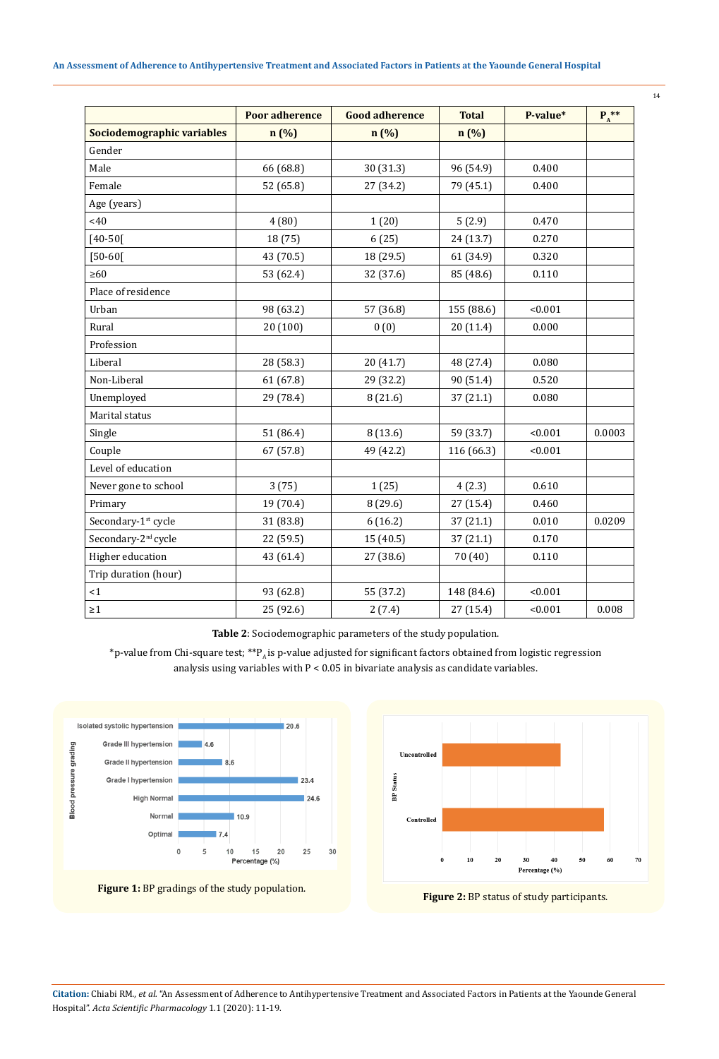# **An Assessment of Adherence to Antihypertensive Treatment and Associated Factors in Patients at the Yaounde General Hospital**

|                                 | <b>Poor adherence</b> | <b>Good adherence</b> | <b>Total</b> | P-value* | $P_A^{**}$ |
|---------------------------------|-----------------------|-----------------------|--------------|----------|------------|
| Sociodemographic variables      | n (%)                 | n (%)                 | n(%)         |          |            |
| Gender                          |                       |                       |              |          |            |
| Male                            | 66 (68.8)             | 30 (31.3)             | 96 (54.9)    | 0.400    |            |
| Female                          | 52 (65.8)             | 27 (34.2)             | 79 (45.1)    | 0.400    |            |
| Age (years)                     |                       |                       |              |          |            |
| <40                             | 4(80)                 | 1(20)                 | 5(2.9)       | 0.470    |            |
| $[40 - 50]$                     | 18 (75)               | 6(25)                 | 24 (13.7)    | 0.270    |            |
| $[50 - 60]$                     | 43 (70.5)             | 18 (29.5)             | 61 (34.9)    | 0.320    |            |
| $\geq 60$                       | 53 (62.4)             | 32 (37.6)             | 85 (48.6)    | 0.110    |            |
| Place of residence              |                       |                       |              |          |            |
| Urban                           | 98 (63.2)             | 57 (36.8)             | 155 (88.6)   | < 0.001  |            |
| Rural                           | 20 (100)              | 0(0)                  | 20 (11.4)    | 0.000    |            |
| Profession                      |                       |                       |              |          |            |
| Liberal                         | 28 (58.3)             | 20 (41.7)             | 48 (27.4)    | 0.080    |            |
| Non-Liberal                     | 61 (67.8)             | 29 (32.2)             | 90 (51.4)    | 0.520    |            |
| Unemployed                      | 29 (78.4)             | 8(21.6)               | 37 (21.1)    | 0.080    |            |
| Marital status                  |                       |                       |              |          |            |
| Single                          | 51 (86.4)             | 8(13.6)               | 59 (33.7)    | < 0.001  | 0.0003     |
| Couple                          | 67 (57.8)             | 49 (42.2)             | 116 (66.3)   | < 0.001  |            |
| Level of education              |                       |                       |              |          |            |
| Never gone to school            | 3(75)                 | 1(25)                 | 4(2.3)       | 0.610    |            |
| Primary                         | 19 (70.4)             | 8 (29.6)              | 27 (15.4)    | 0.460    |            |
| Secondary-1 <sup>st</sup> cycle | 31 (83.8)             | 6(16.2)               | 37 (21.1)    | 0.010    | 0.0209     |
| Secondary-2 <sup>nd</sup> cycle | 22 (59.5)             | 15(40.5)              | 37 (21.1)    | 0.170    |            |
| Higher education                | 43 (61.4)             | 27 (38.6)             | 70 (40)      | 0.110    |            |
| Trip duration (hour)            |                       |                       |              |          |            |
| <1                              | 93 (62.8)             | 55 (37.2)             | 148 (84.6)   | < 0.001  |            |
| $\geq 1$                        | 25 (92.6)             | 2(7.4)                | 27 (15.4)    | < 0.001  | 0.008      |

**Table 2**: Sociodemographic parameters of the study population.

\*p-value from Chi-square test; \*\* $P_A$  is p-value adjusted for significant factors obtained from logistic regression analysis using variables with  $P < 0.05$  in bivariate analysis as candidate variables.



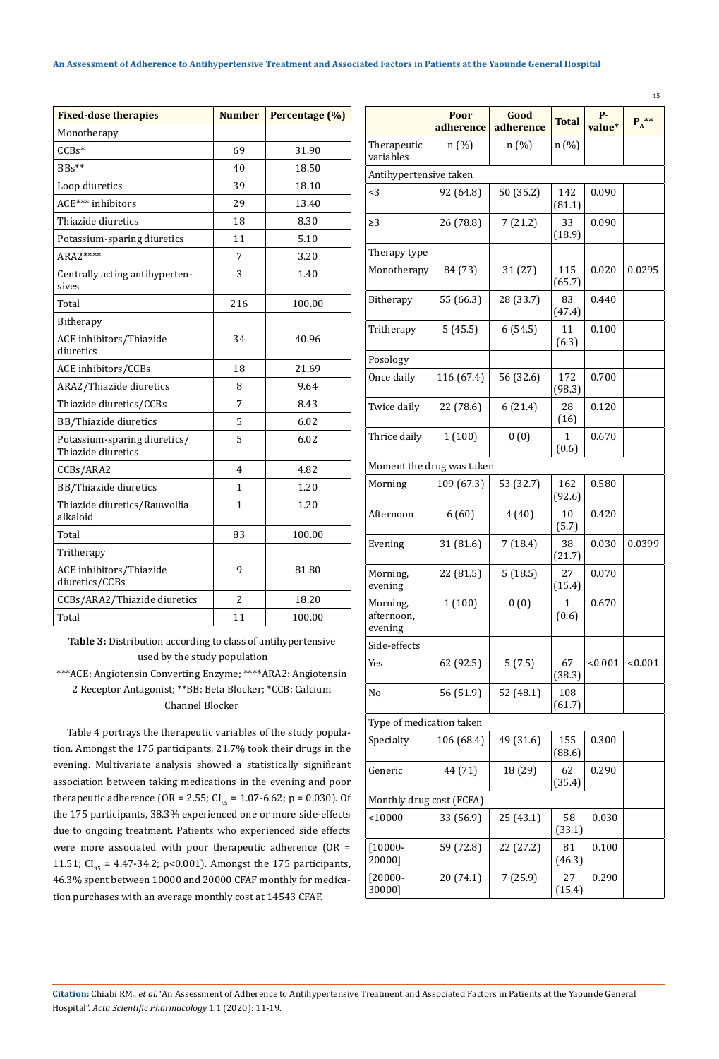### **An Assessment of Adherence to Antihypertensive Treatment and Associated Factors in Patients at the Yaounde General Hospital**

| <b>Fixed-dose therapies</b>                        | <b>Number</b>  | Percentage (%) |
|----------------------------------------------------|----------------|----------------|
| Monotherapy                                        |                |                |
| $CCBs*$                                            | 69             | 31.90          |
| $BBs**$                                            | 40             | 18.50          |
| Loop diuretics                                     | 39             | 18.10          |
| ACE*** inhibitors                                  | 29             | 13.40          |
| Thiazide diuretics                                 | 18             | 8.30           |
| Potassium-sparing diuretics                        | 11             | 5.10           |
| ARA2****                                           | 7              | 3.20           |
| Centrally acting antihyperten-<br>sives            | 3              | 1.40           |
| Total                                              | 216            | 100.00         |
| Bitherapy                                          |                |                |
| ACE inhibitors/Thiazide<br>diuretics               | 34             | 40.96          |
| ACE inhibitors/CCBs                                | 18             | 21.69          |
| ARA2/Thiazide diuretics                            | 8              | 9.64           |
| Thiazide diuretics/CCBs                            | 7              | 8.43           |
| BB/Thiazide diuretics                              | 5              | 6.02           |
| Potassium-sparing diuretics/<br>Thiazide diuretics | 5              | 6.02           |
| CCBs/ARA2                                          | $\overline{4}$ | 4.82           |
| BB/Thiazide diuretics                              | 1              | 1.20           |
| Thiazide diuretics/Rauwolfia<br>alkaloid           | 1              | 1.20           |
| Total                                              | 83             | 100.00         |
| Tritherapy                                         |                |                |
| ACE inhibitors/Thiazide<br>diuretics/CCBs          | 9              | 81.80          |
| CCBs/ARA2/Thiazide diuretics                       | $\overline{2}$ | 18.20          |
| Total                                              | 11             | 100.00         |

**Table 3:** Distribution according to class of antihypertensive used by the study population

\*\*\*ACE: Angiotensin Converting Enzyme; \*\*\*\*ARA2: Angiotensin 2 Receptor Antagonist; \*\*BB: Beta Blocker; \*CCB: Calcium Channel Blocker

Table 4 portrays the therapeutic variables of the study population. Amongst the 175 participants, 21.7% took their drugs in the evening. Multivariate analysis showed a statistically significant association between taking medications in the evening and poor therapeutic adherence (OR = 2.55; CI<sub>95</sub> = 1.07-6.62; p = 0.030). Of the 175 participants, 38.3% experienced one or more side-effects due to ongoing treatment. Patients who experienced side effects were more associated with poor therapeutic adherence (OR = 11.51; CI<sub>95</sub> = 4.47-34.2; p<0.001). Amongst the 175 participants, 46.3% spent between 10000 and 20000 CFAF monthly for medication purchases with an average monthly cost at 14543 CFAF.

| 15                                |                   |                   |               |              |         |
|-----------------------------------|-------------------|-------------------|---------------|--------------|---------|
|                                   | Poor<br>adherence | Good<br>adherence | <b>Total</b>  | р.<br>value* | $P_A^*$ |
| Therapeutic<br>variables          | n(%)              | n (%)             | n (%)         |              |         |
| Antihypertensive taken            |                   |                   |               |              |         |
| $<$ 3                             | 92 (64.8)         | 50 (35.2)         | 142<br>(81.1) | 0.090        |         |
| $\geq$ 3                          | 26 (78.8)         | 7(21.2)           | 33<br>(18.9)  | 0.090        |         |
| Therapy type                      |                   |                   |               |              |         |
| Monotherapy                       | 84 (73)           | 31 (27)           | 115<br>(65.7) | 0.020        | 0.0295  |
| Bitherapy                         | 55 (66.3)         | 28 (33.7)         | 83<br>(47.4)  | 0.440        |         |
| Tritherapy                        | 5(45.5)           | 6(54.5)           | 11<br>(6.3)   | 0.100        |         |
| Posology                          |                   |                   |               |              |         |
| Once daily                        | 116 (67.4)        | 56 (32.6)         | 172<br>(98.3) | 0.700        |         |
| Twice daily                       | 22 (78.6)         | 6(21.4)           | 28<br>(16)    | 0.120        |         |
| Thrice daily                      | 1(100)            | 0(0)              | 1<br>(0.6)    | 0.670        |         |
| Moment the drug was taken         |                   |                   |               |              |         |
| Morning                           | 109 (67.3)        | 53 (32.7)         | 162<br>(92.6) | 0.580        |         |
| Afternoon                         | 6(60)             | 4(40)             | 10<br>(5.7)   | 0.420        |         |
| Evening                           | 31 (81.6)         | 7(18.4)           | 38<br>(21.7)  | 0.030        | 0.0399  |
| Morning,<br>evening               | 22 (81.5)         | 5(18.5)           | 27<br>(15.4)  | 0.070        |         |
| Morning,<br>afternoon,<br>evening | 1(100)            | 0(0)              | 1<br>(0.6)    | 0.670        |         |
| Side-effects                      |                   |                   |               |              |         |
| Yes                               | 62 (92.5)         | 5(7.5)            | 67<br>(38.3)  | < 0.001      | < 0.001 |
| No                                | 56 (51.9)         | 52 (48.1)         | 108<br>(61.7) |              |         |
| Type of medication taken          |                   |                   |               |              |         |
| Specialty                         | 106 (68.4)        | 49 (31.6)         | 155<br>(88.6) | 0.300        |         |
| Generic                           | 44 (71)           | 18 (29)           | 62<br>(35.4)  | 0.290        |         |
| Monthly drug cost (FCFA)          |                   |                   |               |              |         |
| < 10000                           | 33 (56.9)         | 25 (43.1)         | 58<br>(33.1)  | 0.030        |         |
| $[10000 -$<br>20000]              | 59 (72.8)         | 22 (27.2)         | 81<br>(46.3)  | 0.100        |         |
| $[20000 -$<br>30000]              | 20 (74.1)         | 7(25.9)           | 27<br>(15.4)  | 0.290        |         |

**Citation:** Chiabi RM*., et al.* "An Assessment of Adherence to Antihypertensive Treatment and Associated Factors in Patients at the Yaounde General Hospital". *Acta Scientific Pharmacology* 1.1 (2020): 11-19.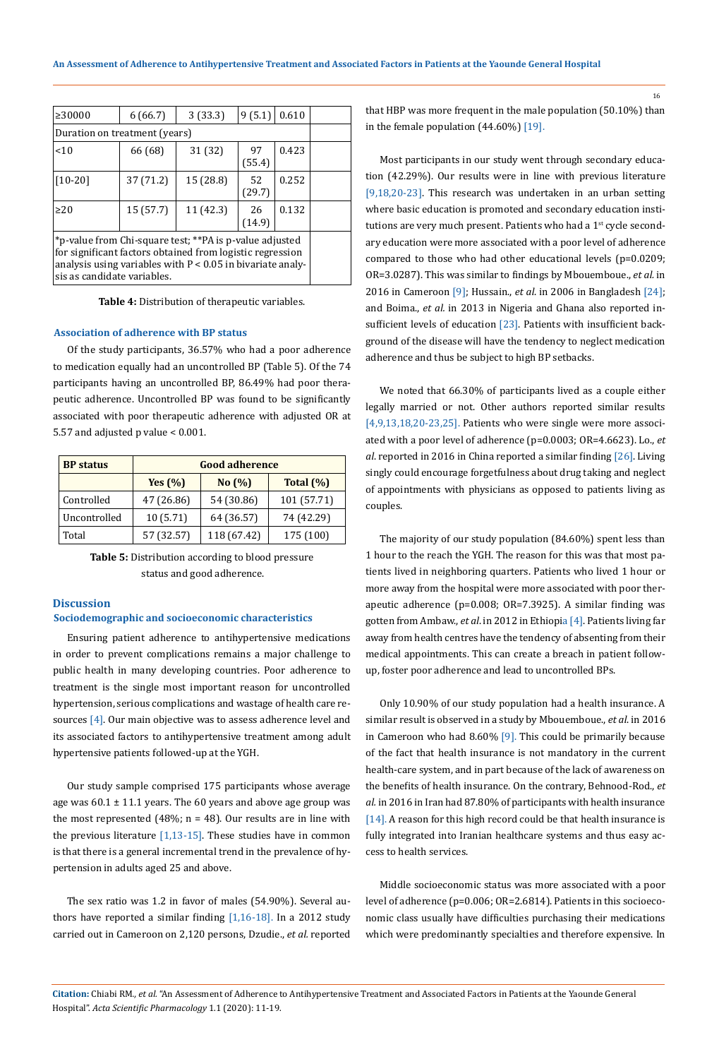| ≥30000                                                                                                                                                                                                              | 6(66.7) | 3(33.3) | 9(5.1) | 0.610 |  |  |
|---------------------------------------------------------------------------------------------------------------------------------------------------------------------------------------------------------------------|---------|---------|--------|-------|--|--|
| Duration on treatment (years)                                                                                                                                                                                       |         |         |        |       |  |  |
| 0.423<br>66 (68)<br>31 (32)<br>< 10<br>97<br>(55.4)                                                                                                                                                                 |         |         |        |       |  |  |
| 0.252<br>$[10-20]$<br>37 (71.2)<br>15 (28.8)<br>52<br>(29.7)                                                                                                                                                        |         |         |        |       |  |  |
| 0.132<br>15(57.7)<br>11(42.3)<br>$\geq$ 20<br>26<br>(14.9)                                                                                                                                                          |         |         |        |       |  |  |
| *p-value from Chi-square test; **PA is p-value adjusted<br>for significant factors obtained from logistic regression<br>analysis using variables with $P < 0.05$ in bivariate analy-<br>sis as candidate variables. |         |         |        |       |  |  |

**Table 4:** Distribution of therapeutic variables.

#### **Association of adherence with BP status**

Of the study participants, 36.57% who had a poor adherence to medication equally had an uncontrolled BP (Table 5). Of the 74 participants having an uncontrolled BP, 86.49% had poor therapeutic adherence. Uncontrolled BP was found to be significantly associated with poor therapeutic adherence with adjusted OR at 5.57 and adjusted p value < 0.001.

| <b>BP</b> status | <b>Good adherence</b> |             |               |  |
|------------------|-----------------------|-------------|---------------|--|
|                  | Yes $(\% )$           | No (%)      | Total $(\% )$ |  |
| Controlled       | 47 (26.86)            | 54 (30.86)  | 101 (57.71)   |  |
| Uncontrolled     | 10(5.71)              | 64 (36.57)  | 74 (42.29)    |  |
| Total            | 57 (32.57)            | 118 (67.42) | 175 (100)     |  |

**Table 5:** Distribution according to blood pressure status and good adherence.

#### **Discussion**

#### **Sociodemographic and socioeconomic characteristics**

Ensuring patient adherence to antihypertensive medications in order to prevent complications remains a major challenge to public health in many developing countries. Poor adherence to treatment is the single most important reason for uncontrolled hypertension, serious complications and wastage of health care resources [4]. Our main objective was to assess adherence level and its associated factors to antihypertensive treatment among adult hypertensive patients followed-up at the YGH.

Our study sample comprised 175 participants whose average age was  $60.1 \pm 11.1$  years. The 60 years and above age group was the most represented (48%;  $n = 48$ ). Our results are in line with the previous literature [1,13-15]. These studies have in common is that there is a general incremental trend in the prevalence of hypertension in adults aged 25 and above.

The sex ratio was 1.2 in favor of males (54.90%). Several authors have reported a similar finding  $[1,16-18]$ . In a 2012 study carried out in Cameroon on 2,120 persons, Dzudie., *et al.* reported that HBP was more frequent in the male population (50.10%) than in the female population (44.60%) [19].

Most participants in our study went through secondary education (42.29%). Our results were in line with previous literature [9,18,20-23]. This research was undertaken in an urban setting where basic education is promoted and secondary education institutions are very much present. Patients who had a 1<sup>st</sup> cycle secondary education were more associated with a poor level of adherence compared to those who had other educational levels (p=0.0209; OR=3.0287). This was similar to findings by Mbouemboue., *et al.* in 2016 in Cameroon [9]; Hussain., *et al*. in 2006 in Bangladesh [24]; and Boima., *et al.* in 2013 in Nigeria and Ghana also reported insufficient levels of education [23]. Patients with insufficient background of the disease will have the tendency to neglect medication adherence and thus be subject to high BP setbacks.

We noted that 66.30% of participants lived as a couple either legally married or not. Other authors reported similar results [4,9,13,18,20-23,25]. Patients who were single were more associated with a poor level of adherence (p=0.0003; OR=4.6623). Lo., *et al*. reported in 2016 in China reported a similar finding [26]. Living singly could encourage forgetfulness about drug taking and neglect of appointments with physicians as opposed to patients living as couples.

The majority of our study population (84.60%) spent less than 1 hour to the reach the YGH. The reason for this was that most patients lived in neighboring quarters. Patients who lived 1 hour or more away from the hospital were more associated with poor therapeutic adherence (p=0.008; OR=7.3925). A similar finding was gotten from Ambaw., *et al*. in 2012 in Ethiopia [4]. Patients living far away from health centres have the tendency of absenting from their medical appointments. This can create a breach in patient followup, foster poor adherence and lead to uncontrolled BPs.

Only 10.90% of our study population had a health insurance. A similar result is observed in a study by Mbouemboue., *et al*. in 2016 in Cameroon who had 8.60% [9]. This could be primarily because of the fact that health insurance is not mandatory in the current health-care system, and in part because of the lack of awareness on the benefits of health insurance. On the contrary, Behnood-Rod., *et al.* in 2016 in Iran had 87.80% of participants with health insurance [14]. A reason for this high record could be that health insurance is fully integrated into Iranian healthcare systems and thus easy access to health services.

Middle socioeconomic status was more associated with a poor level of adherence (p=0.006; OR=2.6814). Patients in this socioeconomic class usually have difficulties purchasing their medications which were predominantly specialties and therefore expensive. In

**Citation:** Chiabi RM*., et al.* "An Assessment of Adherence to Antihypertensive Treatment and Associated Factors in Patients at the Yaounde General Hospital". *Acta Scientific Pharmacology* 1.1 (2020): 11-19.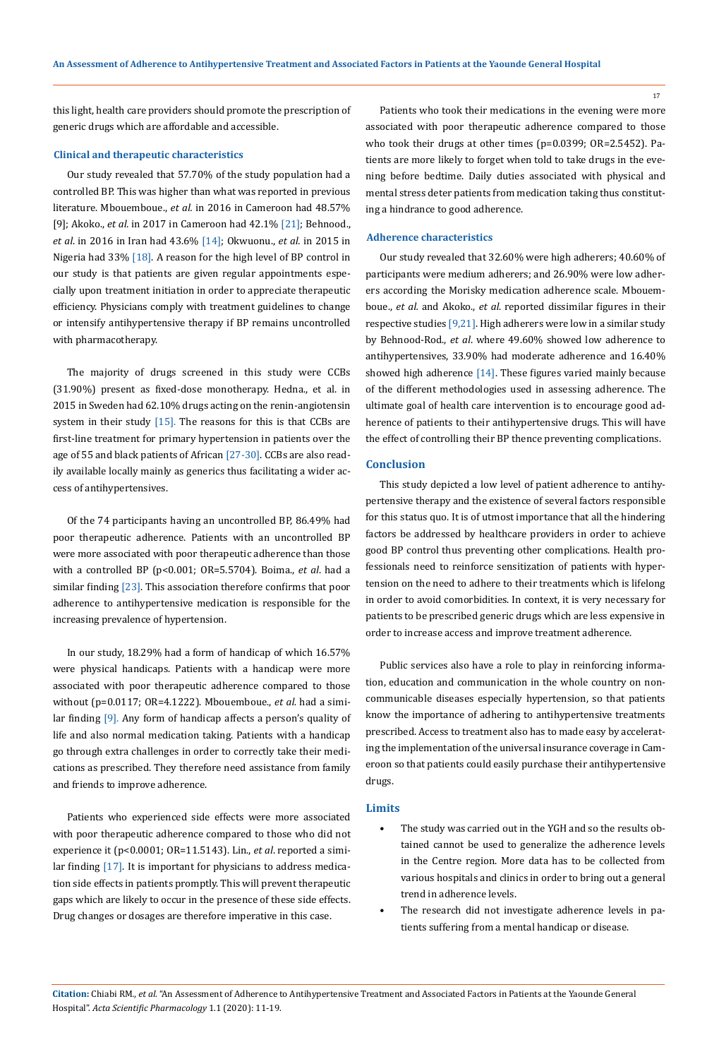this light, health care providers should promote the prescription of generic drugs which are affordable and accessible.

#### **Clinical and therapeutic characteristics**

Our study revealed that 57.70% of the study population had a controlled BP. This was higher than what was reported in previous literature. Mbouemboue., *et al.* in 2016 in Cameroon had 48.57% [9]; Akoko., *et al.* in 2017 in Cameroon had 42.1% [21]; Behnood., *et al*. in 2016 in Iran had 43.6% [14]; Okwuonu., *et al.* in 2015 in Nigeria had 33% [18]. A reason for the high level of BP control in our study is that patients are given regular appointments especially upon treatment initiation in order to appreciate therapeutic efficiency. Physicians comply with treatment guidelines to change or intensify antihypertensive therapy if BP remains uncontrolled with pharmacotherapy.

The majority of drugs screened in this study were CCBs (31.90%) present as fixed-dose monotherapy. Hedna., et al. in 2015 in Sweden had 62.10% drugs acting on the renin-angiotensin system in their study  $[15]$ . The reasons for this is that CCBs are first-line treatment for primary hypertension in patients over the age of 55 and black patients of African [27-30]. CCBs are also readily available locally mainly as generics thus facilitating a wider access of antihypertensives.

Of the 74 participants having an uncontrolled BP, 86.49% had poor therapeutic adherence. Patients with an uncontrolled BP were more associated with poor therapeutic adherence than those with a controlled BP (p<0.001; OR=5.5704). Boima., *et al*. had a similar finding [23]. This association therefore confirms that poor adherence to antihypertensive medication is responsible for the increasing prevalence of hypertension.

In our study, 18.29% had a form of handicap of which 16.57% were physical handicaps. Patients with a handicap were more associated with poor therapeutic adherence compared to those without (p=0.0117; OR=4.1222). Mbouemboue., *et al.* had a similar finding [9]. Any form of handicap affects a person's quality of life and also normal medication taking. Patients with a handicap go through extra challenges in order to correctly take their medications as prescribed. They therefore need assistance from family and friends to improve adherence.

Patients who experienced side effects were more associated with poor therapeutic adherence compared to those who did not experience it (p<0.0001; OR=11.5143). Lin., *et al*. reported a similar finding [17]. It is important for physicians to address medication side effects in patients promptly. This will prevent therapeutic gaps which are likely to occur in the presence of these side effects. Drug changes or dosages are therefore imperative in this case.

Patients who took their medications in the evening were more associated with poor therapeutic adherence compared to those who took their drugs at other times (p=0.0399; OR=2.5452). Patients are more likely to forget when told to take drugs in the evening before bedtime. Daily duties associated with physical and mental stress deter patients from medication taking thus constituting a hindrance to good adherence.

## **Adherence characteristics**

Our study revealed that 32.60% were high adherers; 40.60% of participants were medium adherers; and 26.90% were low adherers according the Morisky medication adherence scale. Mbouemboue., *et al.* and Akoko., *et al*. reported dissimilar figures in their respective studies [9,21]. High adherers were low in a similar study by Behnood-Rod., *et al*. where 49.60% showed low adherence to antihypertensives, 33.90% had moderate adherence and 16.40% showed high adherence  $[14]$ . These figures varied mainly because of the different methodologies used in assessing adherence. The ultimate goal of health care intervention is to encourage good adherence of patients to their antihypertensive drugs. This will have the effect of controlling their BP thence preventing complications.

#### **Conclusion**

This study depicted a low level of patient adherence to antihypertensive therapy and the existence of several factors responsible for this status quo. It is of utmost importance that all the hindering factors be addressed by healthcare providers in order to achieve good BP control thus preventing other complications. Health professionals need to reinforce sensitization of patients with hypertension on the need to adhere to their treatments which is lifelong in order to avoid comorbidities. In context, it is very necessary for patients to be prescribed generic drugs which are less expensive in order to increase access and improve treatment adherence.

Public services also have a role to play in reinforcing information, education and communication in the whole country on noncommunicable diseases especially hypertension, so that patients know the importance of adhering to antihypertensive treatments prescribed. Access to treatment also has to made easy by accelerating the implementation of the universal insurance coverage in Cameroon so that patients could easily purchase their antihypertensive drugs.

#### **Limits**

- The study was carried out in the YGH and so the results obtained cannot be used to generalize the adherence levels in the Centre region. More data has to be collected from various hospitals and clinics in order to bring out a general trend in adherence levels.
- The research did not investigate adherence levels in patients suffering from a mental handicap or disease.

**Citation:** Chiabi RM*., et al.* "An Assessment of Adherence to Antihypertensive Treatment and Associated Factors in Patients at the Yaounde General Hospital". *Acta Scientific Pharmacology* 1.1 (2020): 11-19.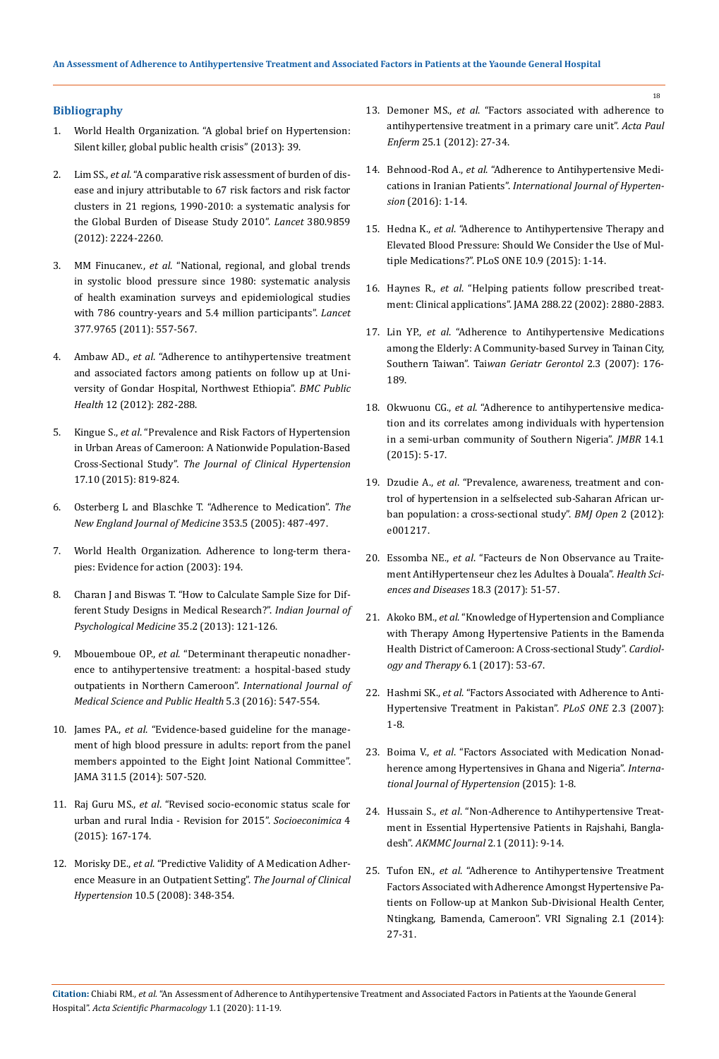#### **Bibliography**

- 1. [World Health Organization. "A global brief on Hypertension:](https://www.who.int/cardiovascular_diseases/publications/global_brief_hypertension/en/) [Silent killer, global public health crisis" \(2013\): 39.](https://www.who.int/cardiovascular_diseases/publications/global_brief_hypertension/en/)
- 2. Lim SS., *et al*[. "A comparative risk assessment of burden of dis](https://www.thelancet.com/journals/lancet/article/PIIS0140-6736(12)61766-8/fulltext)[ease and injury attributable to 67 risk factors and risk factor](https://www.thelancet.com/journals/lancet/article/PIIS0140-6736(12)61766-8/fulltext) [clusters in 21 regions, 1990-2010: a systematic analysis for](https://www.thelancet.com/journals/lancet/article/PIIS0140-6736(12)61766-8/fulltext) [the Global Burden of Disease Study 2010".](https://www.thelancet.com/journals/lancet/article/PIIS0140-6736(12)61766-8/fulltext) *Lancet* 380.9859 [\(2012\): 2224-2260.](https://www.thelancet.com/journals/lancet/article/PIIS0140-6736(12)61766-8/fulltext)
- 3. MM Finucanev., *et al*[. "National, regional, and global trends](https://www.ncbi.nlm.nih.gov/pubmed/21295844) [in systolic blood pressure since 1980: systematic analysis](https://www.ncbi.nlm.nih.gov/pubmed/21295844) [of health examination surveys and epidemiological studies](https://www.ncbi.nlm.nih.gov/pubmed/21295844) [with 786 country-years and 5.4 million participants".](https://www.ncbi.nlm.nih.gov/pubmed/21295844) *Lancet* [377.9765 \(2011\): 557-567.](https://www.ncbi.nlm.nih.gov/pubmed/21295844)
- 4. Ambaw AD., *et al*[. "Adherence to antihypertensive treatment](https://www.ncbi.nlm.nih.gov/pubmed/22490130) [and associated factors among patients on follow up at Uni](https://www.ncbi.nlm.nih.gov/pubmed/22490130)[versity of Gondar Hospital, Northwest Ethiopia".](https://www.ncbi.nlm.nih.gov/pubmed/22490130) *BMC Public Health* [12 \(2012\): 282-288.](https://www.ncbi.nlm.nih.gov/pubmed/22490130)
- 5. Kingue S., *et al*[. "Prevalence and Risk Factors of Hypertension](https://www.ncbi.nlm.nih.gov/pubmed/26140673) [in Urban Areas of Cameroon: A Nationwide Population-Based](https://www.ncbi.nlm.nih.gov/pubmed/26140673) Cross-Sectional Study". *[The Journal of Clinical Hypertension](https://www.ncbi.nlm.nih.gov/pubmed/26140673)* [17.10 \(2015\): 819-824.](https://www.ncbi.nlm.nih.gov/pubmed/26140673)
- 6. [Osterberg L and Blaschke T. "Adherence to Medication".](https://www.nejm.org/doi/full/10.1056/NEJMra050100) *The [New England Journal of Medicine](https://www.nejm.org/doi/full/10.1056/NEJMra050100)* 353.5 (2005): 487-497.
- 7. [World Health Organization. Adherence to long-term thera](https://apps.who.int/iris/handle/10665/42682)[pies: Evidence for action \(2003\): 194.](https://apps.who.int/iris/handle/10665/42682)
- 8. [Charan J and Biswas T. "How to Calculate Sample Size for Dif](http://www.ijpm.info/article.asp?issn=0253-7176;year=2013;volume=35;issue=2;spage=121;epage=126;aulast=Charan)[ferent Study Designs in Medical Research?".](http://www.ijpm.info/article.asp?issn=0253-7176;year=2013;volume=35;issue=2;spage=121;epage=126;aulast=Charan) *Indian Journal of [Psychological Medicine](http://www.ijpm.info/article.asp?issn=0253-7176;year=2013;volume=35;issue=2;spage=121;epage=126;aulast=Charan)* 35.2 (2013): 121-126.
- 9. Mbouemboue OP., *et al*[. "Determinant therapeutic nonadher](https://www.researchgate.net/publication/285361981_Determinants_of_therapeutic_nonadherence_to_antihypertensive_treatment_a_hospital-based_study_on_outpatients_in_Northern_Cameroon)[ence to antihypertensive treatment: a hospital-based study](https://www.researchgate.net/publication/285361981_Determinants_of_therapeutic_nonadherence_to_antihypertensive_treatment_a_hospital-based_study_on_outpatients_in_Northern_Cameroon) [outpatients in Northern Cameroon".](https://www.researchgate.net/publication/285361981_Determinants_of_therapeutic_nonadherence_to_antihypertensive_treatment_a_hospital-based_study_on_outpatients_in_Northern_Cameroon) *International Journal of [Medical Science and Public Health](https://www.researchgate.net/publication/285361981_Determinants_of_therapeutic_nonadherence_to_antihypertensive_treatment_a_hospital-based_study_on_outpatients_in_Northern_Cameroon)* 5.3 (2016): 547-554.
- 10. James PA., *et al*[. "Evidence-based guideline for the manage](https://jamanetwork.com/journals/jama/fullarticle/1791497)[ment of high blood pressure in adults: report from the panel](https://jamanetwork.com/journals/jama/fullarticle/1791497) [members appointed to the Eight Joint National Committee".](https://jamanetwork.com/journals/jama/fullarticle/1791497) [JAMA 311.5 \(2014\): 507-520.](https://jamanetwork.com/journals/jama/fullarticle/1791497)
- 11. Raj Guru MS., *et al*[. "Revised socio-economic status scale for](https://www.researchgate.net/publication/282602846_REVISED_SOCIO-ECONOMIC_STATUS_SCALE_FOR_URBAN_AND_RURAL_INDIA_-_REVISION_FOR_2015) [urban and rural India - Revision for 2015".](https://www.researchgate.net/publication/282602846_REVISED_SOCIO-ECONOMIC_STATUS_SCALE_FOR_URBAN_AND_RURAL_INDIA_-_REVISION_FOR_2015) *Socioeconimica* 4 [\(2015\): 167-174.](https://www.researchgate.net/publication/282602846_REVISED_SOCIO-ECONOMIC_STATUS_SCALE_FOR_URBAN_AND_RURAL_INDIA_-_REVISION_FOR_2015)
- 12. Morisky DE., *et al*[. "Predictive Validity of A Medication Adher](https://www.ncbi.nlm.nih.gov/pubmed/18453793)[ence Measure in an Outpatient Setting".](https://www.ncbi.nlm.nih.gov/pubmed/18453793) *The Journal of Clinical Hypertension* [10.5 \(2008\): 348-354.](https://www.ncbi.nlm.nih.gov/pubmed/18453793)
- 13. Demoner MS., *et al*[. "Factors associated with adherence to](http://www.scielo.br/scielo.php?script=sci_arttext&pid=S0103-21002012000800005) [antihypertensive treatment in a primary care unit".](http://www.scielo.br/scielo.php?script=sci_arttext&pid=S0103-21002012000800005) *Acta Paul Enferm* [25.1 \(2012\): 27-34.](http://www.scielo.br/scielo.php?script=sci_arttext&pid=S0103-21002012000800005)
- 14. Behnood-Rod A., *et al*[. "Adherence to Antihypertensive Medi](https://www.hindawi.com/journals/ijhy/2016/1508752/)cations in Iranian Patients". *[International Journal of Hyperten](https://www.hindawi.com/journals/ijhy/2016/1508752/)sion* [\(2016\): 1-14.](https://www.hindawi.com/journals/ijhy/2016/1508752/)
- 15. Hedna K., *et al*[. "Adherence to Antihypertensive Therapy and](https://www.ncbi.nlm.nih.gov/pubmed/26359861) [Elevated Blood Pressure: Should We Consider the Use of Mul](https://www.ncbi.nlm.nih.gov/pubmed/26359861)[tiple Medications?". PLoS ONE 10.9 \(2015\): 1-14.](https://www.ncbi.nlm.nih.gov/pubmed/26359861)
- 16. Haynes R., *et al*[. "Helping patients follow prescribed treat](https://www.ncbi.nlm.nih.gov/pubmed/12472330)[ment: Clinical applications". JAMA 288.22 \(2002\): 2880-2883.](https://www.ncbi.nlm.nih.gov/pubmed/12472330)
- 17. Lin YP., *et al*[. "Adherence to Antihypertensive Medications](https://www.ncbi.nlm.nih.gov/pubmed/12472330) [among the Elderly: A Community-based Survey in Tainan City,](https://www.ncbi.nlm.nih.gov/pubmed/12472330) Southern Taiwan". Tai*[wan Geriatr Gerontol](https://www.ncbi.nlm.nih.gov/pubmed/12472330)* 2.3 (2007): 176- [189.](https://www.ncbi.nlm.nih.gov/pubmed/12472330)
- 18. Okwuonu CG., *et al*[. "Adherence to antihypertensive medica](https://www.ajol.info/index.php/jmbr/article/view/124865)[tion and its correlates among individuals with hypertension](https://www.ajol.info/index.php/jmbr/article/view/124865) [in a semi-urban community of Southern Nigeria".](https://www.ajol.info/index.php/jmbr/article/view/124865) *JMBR* 14.1 [\(2015\): 5-17.](https://www.ajol.info/index.php/jmbr/article/view/124865)
- 19. Dzudie A., *et al*[. "Prevalence, awareness, treatment and con](https://www.ncbi.nlm.nih.gov/pubmed/22923629)[trol of hypertension in a selfselected sub-Saharan African ur](https://www.ncbi.nlm.nih.gov/pubmed/22923629)[ban population: a cross-sectional study".](https://www.ncbi.nlm.nih.gov/pubmed/22923629) *BMJ Open* 2 (2012): [e001217.](https://www.ncbi.nlm.nih.gov/pubmed/22923629)
- 20. Essomba NE., *et al*[. "Facteurs de Non Observance au Traite](https://www.hsd-fmsb.org/index.php/hsd/article/view/794)[ment AntiHypertenseur chez les Adultes](https://www.hsd-fmsb.org/index.php/hsd/article/view/794) à Douala". *Health Sci[ences and Diseases](https://www.hsd-fmsb.org/index.php/hsd/article/view/794)* 18.3 (2017): 51-57.
- 21. Akoko BM., *et al*[. "Knowledge of Hypertension and Compliance](https://www.ncbi.nlm.nih.gov/pmc/articles/PMC5446812/) [with Therapy Among Hypertensive Patients in the Bamenda](https://www.ncbi.nlm.nih.gov/pmc/articles/PMC5446812/) [Health District of Cameroon: A Cross-sectional Study".](https://www.ncbi.nlm.nih.gov/pmc/articles/PMC5446812/) *Cardiol[ogy and Therapy](https://www.ncbi.nlm.nih.gov/pmc/articles/PMC5446812/)* 6.1 (2017): 53-67.
- 22. Hashmi SK., *et al*[. "Factors Associated with Adherence to Anti-](https://www.ncbi.nlm.nih.gov/pubmed/17356691)[Hypertensive Treatment in Pakistan".](https://www.ncbi.nlm.nih.gov/pubmed/17356691) *PLoS ONE* 2.3 (2007): [1-8.](https://www.ncbi.nlm.nih.gov/pubmed/17356691)
- 23. Boima V., *et al*[. "Factors Associated with Medication Nonad](https://www.ncbi.nlm.nih.gov/pubmed/26509081)[herence among Hypertensives in Ghana and Nigeria".](https://www.ncbi.nlm.nih.gov/pubmed/26509081) *Interna[tional Journal of Hypertension](https://www.ncbi.nlm.nih.gov/pubmed/26509081)* (2015): 1-8.
- 24. Hussain S., *et al*[. "Non-Adherence to Antihypertensive Treat](https://www.banglajol.info/index.php/AKMMCJ/article/view/7465)[ment in Essential Hypertensive Patients in Rajshahi, Bangla](https://www.banglajol.info/index.php/AKMMCJ/article/view/7465)desh". *[AKMMC Journal](https://www.banglajol.info/index.php/AKMMCJ/article/view/7465)* 2.1 (2011): 9-14.
- 25. Tufon EN., *et al*[. "Adherence to Antihypertensive Treatment](https://www.researchgate.net/publication/269585482_Adherence_to_Antihypertensive_Treatment_and_Factors_Associated_With_Adherence_amongst_Hypertensive_Patients_on_Follow_-_Up_at_the_Mankon_Sub_-_Divisional_Health_Center_Ntingkang_Bamenda_Cameroon) [Factors Associated with Adherence Amongst Hypertensive Pa](https://www.researchgate.net/publication/269585482_Adherence_to_Antihypertensive_Treatment_and_Factors_Associated_With_Adherence_amongst_Hypertensive_Patients_on_Follow_-_Up_at_the_Mankon_Sub_-_Divisional_Health_Center_Ntingkang_Bamenda_Cameroon)[tients on Follow-up at Mankon Sub-Divisional Health Center,](https://www.researchgate.net/publication/269585482_Adherence_to_Antihypertensive_Treatment_and_Factors_Associated_With_Adherence_amongst_Hypertensive_Patients_on_Follow_-_Up_at_the_Mankon_Sub_-_Divisional_Health_Center_Ntingkang_Bamenda_Cameroon) [Ntingkang, Bamenda, Cameroon". VRI Signaling 2.1 \(2014\):](https://www.researchgate.net/publication/269585482_Adherence_to_Antihypertensive_Treatment_and_Factors_Associated_With_Adherence_amongst_Hypertensive_Patients_on_Follow_-_Up_at_the_Mankon_Sub_-_Divisional_Health_Center_Ntingkang_Bamenda_Cameroon) [27-31.](https://www.researchgate.net/publication/269585482_Adherence_to_Antihypertensive_Treatment_and_Factors_Associated_With_Adherence_amongst_Hypertensive_Patients_on_Follow_-_Up_at_the_Mankon_Sub_-_Divisional_Health_Center_Ntingkang_Bamenda_Cameroon)